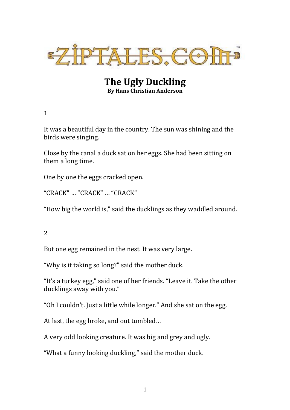

**The Ugly Duckling By Hans Christian Anderson**

1

It was a beautiful day in the country. The sun was shining and the birds were singing.

Close by the canal a duck sat on her eggs. She had been sitting on them a long time.

One by one the eggs cracked open.

"CRACK" … "CRACK" … "CRACK"

"How big the world is," said the ducklings as they waddled around.

2

But one egg remained in the nest. It was very large.

"Why is it taking so long?" said the mother duck.

"It's a turkey egg," said one of her friends. "Leave it. Take the other ducklings away with you."

"Oh I couldn't. Just a little while longer." And she sat on the egg.

At last, the egg broke, and out tumbled…

A very odd looking creature. It was big and grey and ugly.

"What a funny looking duckling," said the mother duck.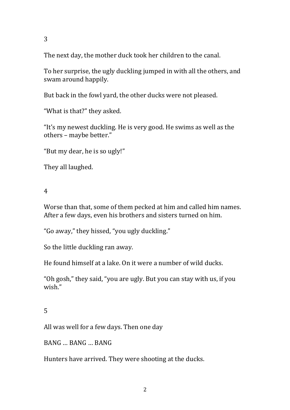3

The next day, the mother duck took her children to the canal.

To her surprise, the ugly duckling jumped in with all the others, and swam around happily.

But back in the fowl yard, the other ducks were not pleased.

"What is that?" they asked.

"It's my newest duckling. He is very good. He swims as well as the others – maybe better."

"But my dear, he is so ugly!"

They all laughed.

4

Worse than that, some of them pecked at him and called him names. After a few days, even his brothers and sisters turned on him.

"Go away," they hissed, "you ugly duckling."

So the little duckling ran away.

He found himself at a lake. On it were a number of wild ducks.

"Oh gosh," they said, "you are ugly. But you can stay with us, if you wish."

## 5

All was well for a few days. Then one day

BANG … BANG … BANG

Hunters have arrived. They were shooting at the ducks.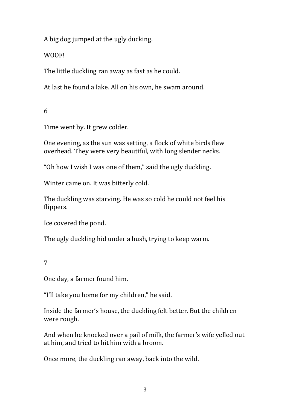A big dog jumped at the ugly ducking.

WOOF!

The little duckling ran away as fast as he could.

At last he found a lake. All on his own, he swam around.

6

Time went by. It grew colder.

One evening, as the sun was setting, a flock of white birds flew overhead. They were very beautiful, with long slender necks.

"Oh how I wish I was one of them," said the ugly duckling.

Winter came on. It was bitterly cold.

The duckling was starving. He was so cold he could not feel his flippers.

Ice covered the pond.

The ugly duckling hid under a bush, trying to keep warm.

## 7

One day, a farmer found him.

"I'll take you home for my children," he said.

Inside the farmer's house, the duckling felt better. But the children were rough.

And when he knocked over a pail of milk, the farmer's wife yelled out at him, and tried to hit him with a broom.

Once more, the duckling ran away, back into the wild.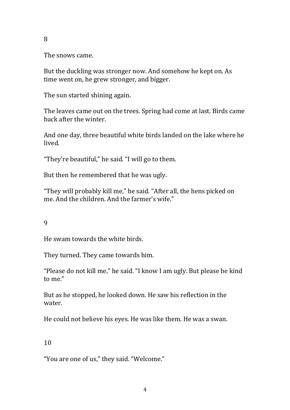The snows came.

But the duckling was stronger now. And somehow he kept on. As time went on, he grew stronger, and bigger.

The sun started shining again.

The leaves came out on the trees. Spring had come at last. Birds came back after the winter.

And one day, three beautiful white birds landed on the lake where he lived.

"They're beautiful," he said. "I will go to them.

But then he remembered that he was ugly.

"They will probably kill me," he said. "After all, the hens picked on me. And the children. And the farmer's wife."

9

He swam towards the white birds.

They turned. They came towards him.

"Please do not kill me," he said. "I know I am ugly. But please be kind to me."

But as he stopped, he looked down. He saw his reflection in the water.

He could not believe his eyes. He was like them. He was a swan.

## 10

"You are one of us," they said. "Welcome."